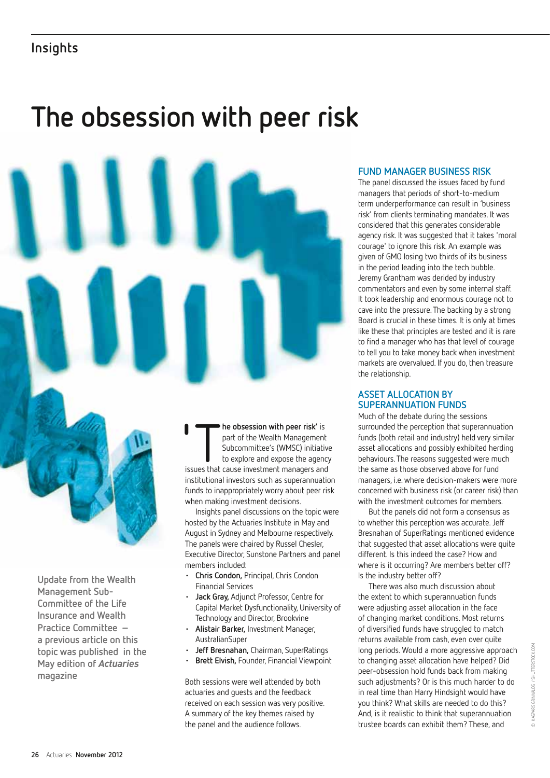# **Insights**

# **The obsession with peer risk**



**Update from the Wealth Management Sub-Committee of the Life Insurance and Wealth Practice Committee – a previous article on this topic was published in the May edition of** *Actuaries* **magazine**

he obsession with peer risk' is part of the Wealth Management Subcommittee's (WMSC) initiative to explore and expose the agency issues that cause investment managers and institutional investors such as superannuation funds to inappropriately worry about peer risk when making investment decisions.

Insights panel discussions on the topic were hosted by the Actuaries Institute in May and August in Sydney and Melbourne respectively. The panels were chaired by Russel Chesler, Executive Director, Sunstone Partners and panel members included:

- **Chris Condon, Principal, Chris Condon** Financial Services
- **Jack Gray, Adjunct Professor, Centre for** Capital Market Dysfunctionality, University of Technology and Director, Brookvine
- • **Alistair Barker,** Investment Manager, AustralianSuper
- **Jeff Bresnahan, Chairman, SuperRatings**
- **Brett Elvish, Founder, Financial Viewpoint**

Both sessions were well attended by both actuaries and guests and the feedback received on each session was very positive. A summary of the key themes raised by the panel and the audience follows.

## **Fund manager business risk**

The panel discussed the issues faced by fund managers that periods of short-to-medium term underperformance can result in 'business risk' from clients terminating mandates. It was considered that this generates considerable agency risk. It was suggested that it takes 'moral courage' to ignore this risk. An example was given of GMO losing two thirds of its business in the period leading into the tech bubble. Jeremy Grantham was derided by industry commentators and even by some internal staff. It took leadership and enormous courage not to cave into the pressure. The backing by a strong Board is crucial in these times. It is only at times like these that principles are tested and it is rare to find a manager who has that level of courage to tell you to take money back when investment markets are overvalued. If you do, then treasure the relationship.

### **Asset Allocation by superannuation funds**

Much of the debate during the sessions surrounded the perception that superannuation funds (both retail and industry) held very similar asset allocations and possibly exhibited herding behaviours. The reasons suggested were much the same as those observed above for fund managers, i.e. where decision-makers were more concerned with business risk (or career risk) than with the investment outcomes for members.

But the panels did not form a consensus as to whether this perception was accurate. Jeff Bresnahan of SuperRatings mentioned evidence that suggested that asset allocations were quite different. Is this indeed the case? How and where is it occurring? Are members better off? Is the industry better off?

There was also much discussion about the extent to which superannuation funds were adjusting asset allocation in the face of changing market conditions. Most returns of diversified funds have struggled to match returns available from cash, even over quite long periods. Would a more aggressive approach to changing asset allocation have helped? Did peer-obsession hold funds back from making such adjustments? Or is this much harder to do in real time than Harry Hindsight would have you think? What skills are needed to do this? And, is it realistic to think that superannuation trustee boards can exhibit them? These, and